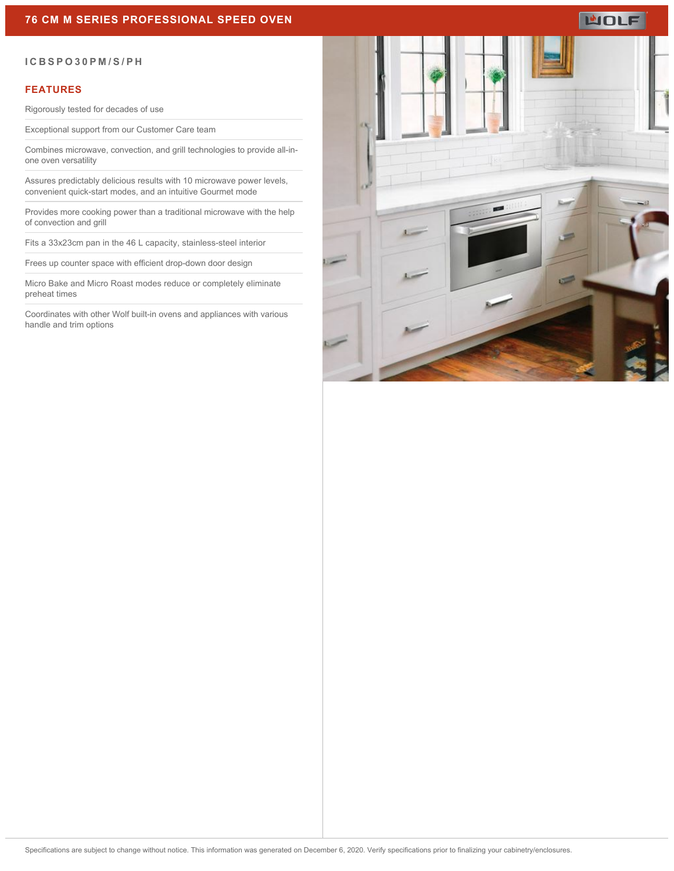# **WOLF**

#### **ICBSPO30PM/S/PH**

#### **FEATURES**

Rigorously tested for decades of use

Exceptional support from our Customer Care team

Combines microwave, convection, and grill technologies to provide all-inone oven versatility

Assures predictably delicious results with 10 microwave power levels, convenient quick-start modes, and an intuitive Gourmet mode

Provides more cooking power than a traditional microwave with the help of convection and grill

Fits a 33x23cm pan in the 46 L capacity, stainless-steel interior

Frees up counter space with efficient drop-down door design

Micro Bake and Micro Roast modes reduce or completely eliminate preheat times

Coordinates with other Wolf built-in ovens and appliances with various handle and trim options